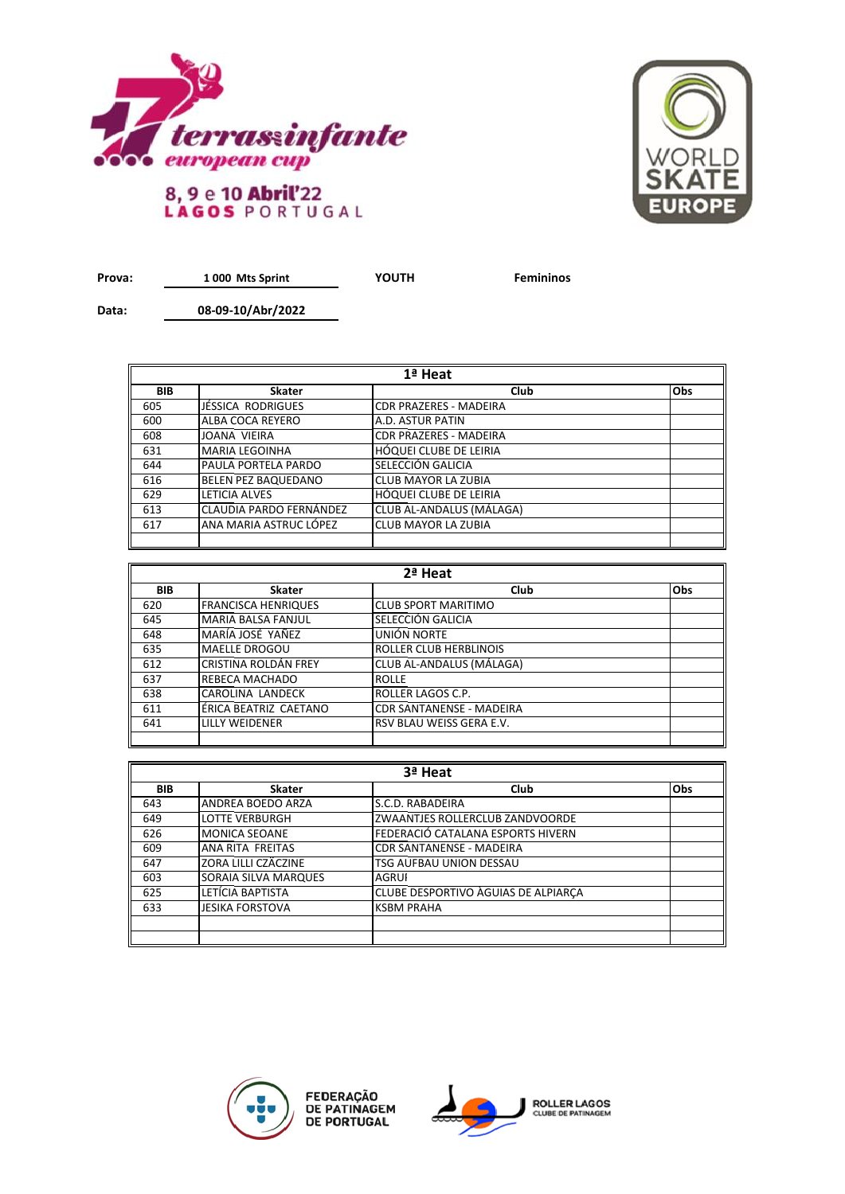



**Prova: YOUTH Femininos 1 000 Mts Sprint**

**Data:**

**08-09-10/Abr/2022**

| 1ª Heat    |                            |                               |            |  |
|------------|----------------------------|-------------------------------|------------|--|
| <b>BIB</b> | <b>Skater</b>              | <b>Club</b>                   | <b>Obs</b> |  |
| 605        | JÉSSICA RODRIGUES          | <b>CDR PRAZERES - MADEIRA</b> |            |  |
| 600        | ALBA COCA REYERO           | A.D. ASTUR PATIN              |            |  |
| 608        | JOANA VIEIRA               | <b>CDR PRAZERES - MADEIRA</b> |            |  |
| 631        | <b>MARIA LEGOINHA</b>      | HÓQUEI CLUBE DE LEIRIA        |            |  |
| 644        | <b>PAULA PORTELA PARDO</b> | SELECCIÓN GALICIA             |            |  |
| 616        | <b>BELEN PEZ BAQUEDANO</b> | <b>CLUB MAYOR LA ZUBIA</b>    |            |  |
| 629        | LETICIA ALVES              | <b>HÓQUEI CLUBE DE LEIRIA</b> |            |  |
| 613        | CLAUDIA PARDO FERNÁNDEZ    | CLUB AL-ANDALUS (MÁLAGA)      |            |  |
| 617        | ANA MARIA ASTRUC LÓPEZ     | <b>CLUB MAYOR LA ZUBIA</b>    |            |  |
|            |                            |                               |            |  |

| 2ª Heat    |                            |                                 |            |  |
|------------|----------------------------|---------------------------------|------------|--|
| <b>BIB</b> | <b>Skater</b>              | Club                            | <b>Obs</b> |  |
| 620        | <b>FRANCISCA HENRIQUES</b> | <b>CLUB SPORT MARITIMO</b>      |            |  |
| 645        | <b>MARIA BALSA FANJUL</b>  | SELECCIÓN GALICIA               |            |  |
| 648        | MARÍA JOSÉ YAÑEZ           | UNIÓN NORTE                     |            |  |
| 635        | <b>MAELLE DROGOU</b>       | <b>ROLLER CLUB HERBLINOIS</b>   |            |  |
| 612        | CRISTINA ROLDÁN FREY       | CLUB AL-ANDALUS (MÁLAGA)        |            |  |
| 637        | <b>REBECA MACHADO</b>      | <b>ROLLE</b>                    |            |  |
| 638        | CAROLINA LANDECK           | ROLLER LAGOS C.P.               |            |  |
| 611        | ÉRICA BEATRIZ CAETANO      | <b>CDR SANTANENSE - MADEIRA</b> |            |  |
| 641        | LILLY WEIDENER             | RSV BLAU WEISS GERA E.V.        |            |  |
|            |                            |                                 |            |  |

| 3ª Heat    |                        |                                     |            |
|------------|------------------------|-------------------------------------|------------|
| <b>BIB</b> | <b>Skater</b>          | Club                                | <b>Obs</b> |
| 643        | ANDREA BOEDO ARZA      | S.C.D. RABADEIRA                    |            |
| 649        | <b>LOTTE VERBURGH</b>  | ZWAANTJES ROLLERCLUB ZANDVOORDE     |            |
| 626        | <b>MONICA SEOANE</b>   | FEDERACIÓ CATALANA ESPORTS HIVERN   |            |
| 609        | ANA RITA FREITAS       | <b>CDR SANTANENSE - MADEIRA</b>     |            |
| 647        | ZORA LILLI CZÄCZINE    | TSG AUFBAU UNION DESSAU             |            |
| 603        | SORAIA SILVA MARQUES   | <b>AGRUI</b>                        |            |
| 625        | LETÍCIA BAPTISTA       | CLUBE DESPORTIVO AGUIAS DE ALPIARCA |            |
| 633        | <b>JESIKA FORSTOVA</b> | <b>KSBM PRAHA</b>                   |            |
|            |                        |                                     |            |
|            |                        |                                     |            |